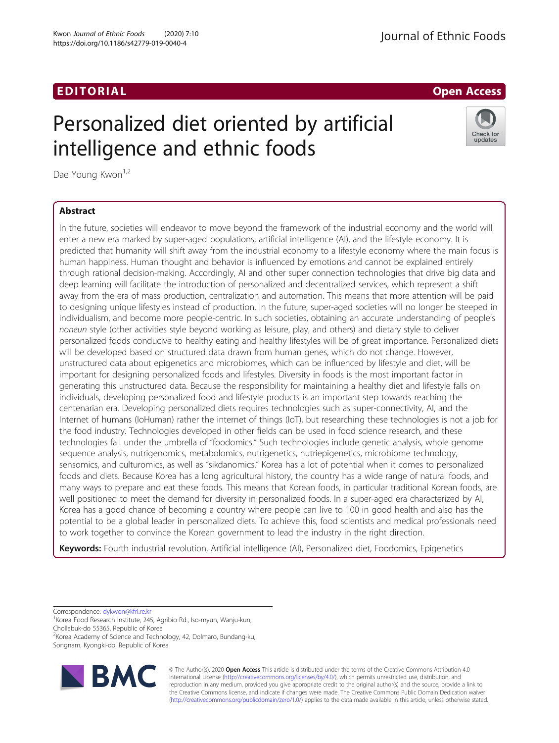# EDI TORIA L Open Access

# Personalized diet oriented by artificial intelligence and ethnic foods



Dae Young Kwon<sup>1,2</sup>

# Abstract

In the future, societies will endeavor to move beyond the framework of the industrial economy and the world will enter a new era marked by super-aged populations, artificial intelligence (AI), and the lifestyle economy. It is predicted that humanity will shift away from the industrial economy to a lifestyle economy where the main focus is human happiness. Human thought and behavior is influenced by emotions and cannot be explained entirely through rational decision-making. Accordingly, AI and other super connection technologies that drive big data and deep learning will facilitate the introduction of personalized and decentralized services, which represent a shift away from the era of mass production, centralization and automation. This means that more attention will be paid to designing unique lifestyles instead of production. In the future, super-aged societies will no longer be steeped in individualism, and become more people-centric. In such societies, obtaining an accurate understanding of people's noneun style (other activities style beyond working as leisure, play, and others) and dietary style to deliver personalized foods conducive to healthy eating and healthy lifestyles will be of great importance. Personalized diets will be developed based on structured data drawn from human genes, which do not change. However, unstructured data about epigenetics and microbiomes, which can be influenced by lifestyle and diet, will be important for designing personalized foods and lifestyles. Diversity in foods is the most important factor in generating this unstructured data. Because the responsibility for maintaining a healthy diet and lifestyle falls on individuals, developing personalized food and lifestyle products is an important step towards reaching the centenarian era. Developing personalized diets requires technologies such as super-connectivity, AI, and the Internet of humans (IoHuman) rather the internet of things (IoT), but researching these technologies is not a job for the food industry. Technologies developed in other fields can be used in food science research, and these technologies fall under the umbrella of "foodomics." Such technologies include genetic analysis, whole genome sequence analysis, nutrigenomics, metabolomics, nutrigenetics, nutriepigenetics, microbiome technology, sensomics, and culturomics, as well as "sikdanomics." Korea has a lot of potential when it comes to personalized foods and diets. Because Korea has a long agricultural history, the country has a wide range of natural foods, and many ways to prepare and eat these foods. This means that Korean foods, in particular traditional Korean foods, are well positioned to meet the demand for diversity in personalized foods. In a super-aged era characterized by AI, Korea has a good chance of becoming a country where people can live to 100 in good health and also has the potential to be a global leader in personalized diets. To achieve this, food scientists and medical professionals need to work together to convince the Korean government to lead the industry in the right direction.

Keywords: Fourth industrial revolution, Artificial intelligence (AI), Personalized diet, Foodomics, Epigenetics

Correspondence: [dykwon@kfri.re.kr](mailto:dykwon@kfri.re.kr) <sup>1</sup>

Korea Food Research Institute, 245, Agribio Rd., Iso-myun, Wanju-kun, Chollabuk-do 55365, Republic of Korea

<sup>2</sup> Korea Academy of Science and Technology, 42, Dolmaro, Bundang-ku, Songnam, Kyongki-do, Republic of Korea



© The Author(s). 2020 **Open Access** This article is distributed under the terms of the Creative Commons Attribution 4.0 International License [\(http://creativecommons.org/licenses/by/4.0/](http://creativecommons.org/licenses/by/4.0/)), which permits unrestricted use, distribution, and reproduction in any medium, provided you give appropriate credit to the original author(s) and the source, provide a link to the Creative Commons license, and indicate if changes were made. The Creative Commons Public Domain Dedication waiver [\(http://creativecommons.org/publicdomain/zero/1.0/](http://creativecommons.org/publicdomain/zero/1.0/)) applies to the data made available in this article, unless otherwise stated.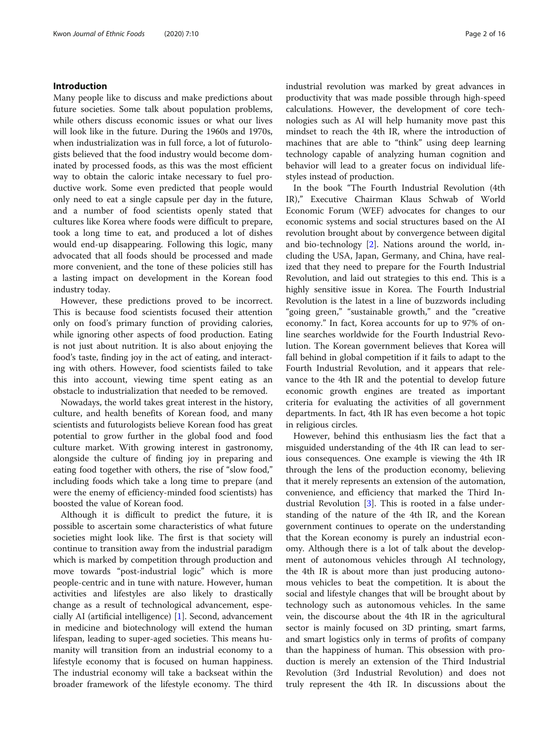# Introduction

Many people like to discuss and make predictions about future societies. Some talk about population problems, while others discuss economic issues or what our lives will look like in the future. During the 1960s and 1970s, when industrialization was in full force, a lot of futurologists believed that the food industry would become dominated by processed foods, as this was the most efficient way to obtain the caloric intake necessary to fuel productive work. Some even predicted that people would only need to eat a single capsule per day in the future, and a number of food scientists openly stated that cultures like Korea where foods were difficult to prepare, took a long time to eat, and produced a lot of dishes would end-up disappearing. Following this logic, many advocated that all foods should be processed and made more convenient, and the tone of these policies still has a lasting impact on development in the Korean food industry today.

However, these predictions proved to be incorrect. This is because food scientists focused their attention only on food's primary function of providing calories, while ignoring other aspects of food production. Eating is not just about nutrition. It is also about enjoying the food's taste, finding joy in the act of eating, and interacting with others. However, food scientists failed to take this into account, viewing time spent eating as an obstacle to industrialization that needed to be removed.

Nowadays, the world takes great interest in the history, culture, and health benefits of Korean food, and many scientists and futurologists believe Korean food has great potential to grow further in the global food and food culture market. With growing interest in gastronomy, alongside the culture of finding joy in preparing and eating food together with others, the rise of "slow food," including foods which take a long time to prepare (and were the enemy of efficiency-minded food scientists) has boosted the value of Korean food.

Although it is difficult to predict the future, it is possible to ascertain some characteristics of what future societies might look like. The first is that society will continue to transition away from the industrial paradigm which is marked by competition through production and move towards "post-industrial logic" which is more people-centric and in tune with nature. However, human activities and lifestyles are also likely to drastically change as a result of technological advancement, especially AI (artificial intelligence) [[1\]](#page-15-0). Second, advancement in medicine and biotechnology will extend the human lifespan, leading to super-aged societies. This means humanity will transition from an industrial economy to a lifestyle economy that is focused on human happiness. The industrial economy will take a backseat within the broader framework of the lifestyle economy. The third industrial revolution was marked by great advances in productivity that was made possible through high-speed calculations. However, the development of core technologies such as AI will help humanity move past this mindset to reach the 4th IR, where the introduction of machines that are able to "think" using deep learning technology capable of analyzing human cognition and behavior will lead to a greater focus on individual lifestyles instead of production.

In the book "The Fourth Industrial Revolution (4th IR)," Executive Chairman Klaus Schwab of World Economic Forum (WEF) advocates for changes to our economic systems and social structures based on the AI revolution brought about by convergence between digital and bio-technology [\[2](#page-15-0)]. Nations around the world, including the USA, Japan, Germany, and China, have realized that they need to prepare for the Fourth Industrial Revolution, and laid out strategies to this end. This is a highly sensitive issue in Korea. The Fourth Industrial Revolution is the latest in a line of buzzwords including "going green," "sustainable growth," and the "creative economy." In fact, Korea accounts for up to 97% of online searches worldwide for the Fourth Industrial Revolution. The Korean government believes that Korea will fall behind in global competition if it fails to adapt to the Fourth Industrial Revolution, and it appears that relevance to the 4th IR and the potential to develop future economic growth engines are treated as important criteria for evaluating the activities of all government departments. In fact, 4th IR has even become a hot topic in religious circles.

However, behind this enthusiasm lies the fact that a misguided understanding of the 4th IR can lead to serious consequences. One example is viewing the 4th IR through the lens of the production economy, believing that it merely represents an extension of the automation, convenience, and efficiency that marked the Third Industrial Revolution [[3\]](#page-15-0). This is rooted in a false understanding of the nature of the 4th IR, and the Korean government continues to operate on the understanding that the Korean economy is purely an industrial economy. Although there is a lot of talk about the development of autonomous vehicles through AI technology, the 4th IR is about more than just producing autonomous vehicles to beat the competition. It is about the social and lifestyle changes that will be brought about by technology such as autonomous vehicles. In the same vein, the discourse about the 4th IR in the agricultural sector is mainly focused on 3D printing, smart farms, and smart logistics only in terms of profits of company than the happiness of human. This obsession with production is merely an extension of the Third Industrial Revolution (3rd Industrial Revolution) and does not truly represent the 4th IR. In discussions about the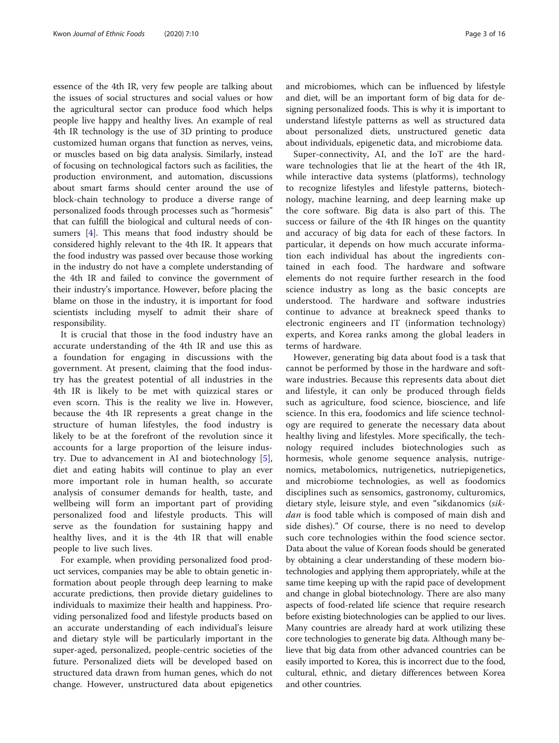essence of the 4th IR, very few people are talking about the issues of social structures and social values or how the agricultural sector can produce food which helps people live happy and healthy lives. An example of real 4th IR technology is the use of 3D printing to produce customized human organs that function as nerves, veins, or muscles based on big data analysis. Similarly, instead of focusing on technological factors such as facilities, the production environment, and automation, discussions about smart farms should center around the use of block-chain technology to produce a diverse range of personalized foods through processes such as "hormesis" that can fulfill the biological and cultural needs of con-sumers [\[4](#page-15-0)]. This means that food industry should be considered highly relevant to the 4th IR. It appears that the food industry was passed over because those working in the industry do not have a complete understanding of the 4th IR and failed to convince the government of their industry's importance. However, before placing the blame on those in the industry, it is important for food scientists including myself to admit their share of responsibility.

It is crucial that those in the food industry have an accurate understanding of the 4th IR and use this as a foundation for engaging in discussions with the government. At present, claiming that the food industry has the greatest potential of all industries in the 4th IR is likely to be met with quizzical stares or even scorn. This is the reality we live in. However, because the 4th IR represents a great change in the structure of human lifestyles, the food industry is likely to be at the forefront of the revolution since it accounts for a large proportion of the leisure industry. Due to advancement in AI and biotechnology [\[5](#page-15-0)], diet and eating habits will continue to play an ever more important role in human health, so accurate analysis of consumer demands for health, taste, and wellbeing will form an important part of providing personalized food and lifestyle products. This will serve as the foundation for sustaining happy and healthy lives, and it is the 4th IR that will enable people to live such lives.

For example, when providing personalized food product services, companies may be able to obtain genetic information about people through deep learning to make accurate predictions, then provide dietary guidelines to individuals to maximize their health and happiness. Providing personalized food and lifestyle products based on an accurate understanding of each individual's leisure and dietary style will be particularly important in the super-aged, personalized, people-centric societies of the future. Personalized diets will be developed based on structured data drawn from human genes, which do not change. However, unstructured data about epigenetics and microbiomes, which can be influenced by lifestyle and diet, will be an important form of big data for designing personalized foods. This is why it is important to understand lifestyle patterns as well as structured data about personalized diets, unstructured genetic data about individuals, epigenetic data, and microbiome data.

Super-connectivity, AI, and the IoT are the hardware technologies that lie at the heart of the 4th IR, while interactive data systems (platforms), technology to recognize lifestyles and lifestyle patterns, biotechnology, machine learning, and deep learning make up the core software. Big data is also part of this. The success or failure of the 4th IR hinges on the quantity and accuracy of big data for each of these factors. In particular, it depends on how much accurate information each individual has about the ingredients contained in each food. The hardware and software elements do not require further research in the food science industry as long as the basic concepts are understood. The hardware and software industries continue to advance at breakneck speed thanks to electronic engineers and IT (information technology) experts, and Korea ranks among the global leaders in terms of hardware.

However, generating big data about food is a task that cannot be performed by those in the hardware and software industries. Because this represents data about diet and lifestyle, it can only be produced through fields such as agriculture, food science, bioscience, and life science. In this era, foodomics and life science technology are required to generate the necessary data about healthy living and lifestyles. More specifically, the technology required includes biotechnologies such as hormesis, whole genome sequence analysis, nutrigenomics, metabolomics, nutrigenetics, nutriepigenetics, and microbiome technologies, as well as foodomics disciplines such as sensomics, gastronomy, culturomics, dietary style, leisure style, and even "sikdanomics (sikdan is food table which is composed of main dish and side dishes)." Of course, there is no need to develop such core technologies within the food science sector. Data about the value of Korean foods should be generated by obtaining a clear understanding of these modern biotechnologies and applying them appropriately, while at the same time keeping up with the rapid pace of development and change in global biotechnology. There are also many aspects of food-related life science that require research before existing biotechnologies can be applied to our lives. Many countries are already hard at work utilizing these core technologies to generate big data. Although many believe that big data from other advanced countries can be easily imported to Korea, this is incorrect due to the food, cultural, ethnic, and dietary differences between Korea and other countries.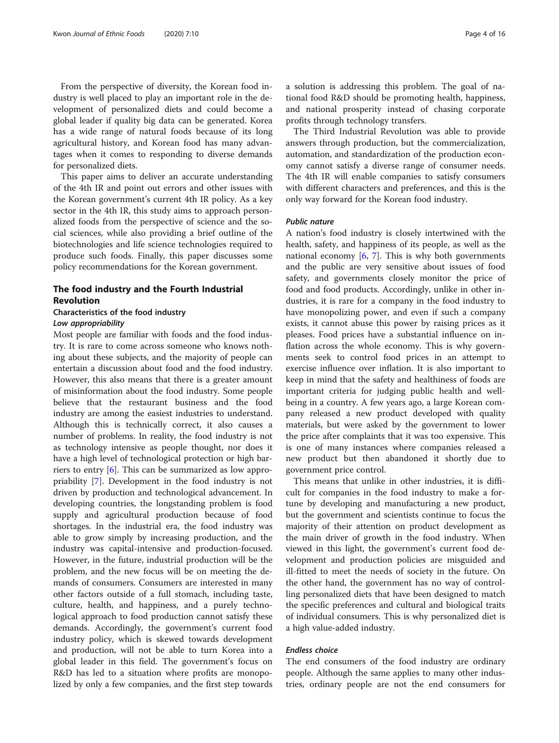From the perspective of diversity, the Korean food industry is well placed to play an important role in the development of personalized diets and could become a global leader if quality big data can be generated. Korea has a wide range of natural foods because of its long agricultural history, and Korean food has many advantages when it comes to responding to diverse demands for personalized diets.

This paper aims to deliver an accurate understanding of the 4th IR and point out errors and other issues with the Korean government's current 4th IR policy. As a key sector in the 4th IR, this study aims to approach personalized foods from the perspective of science and the social sciences, while also providing a brief outline of the biotechnologies and life science technologies required to produce such foods. Finally, this paper discusses some policy recommendations for the Korean government.

# The food industry and the Fourth Industrial Revolution

# Characteristics of the food industry Low appropriability

Most people are familiar with foods and the food industry. It is rare to come across someone who knows nothing about these subjects, and the majority of people can entertain a discussion about food and the food industry. However, this also means that there is a greater amount of misinformation about the food industry. Some people believe that the restaurant business and the food industry are among the easiest industries to understand. Although this is technically correct, it also causes a number of problems. In reality, the food industry is not as technology intensive as people thought, nor does it have a high level of technological protection or high barriers to entry [[6\]](#page-15-0). This can be summarized as low appropriability [[7\]](#page-15-0). Development in the food industry is not driven by production and technological advancement. In developing countries, the longstanding problem is food supply and agricultural production because of food shortages. In the industrial era, the food industry was able to grow simply by increasing production, and the industry was capital-intensive and production-focused. However, in the future, industrial production will be the problem, and the new focus will be on meeting the demands of consumers. Consumers are interested in many other factors outside of a full stomach, including taste, culture, health, and happiness, and a purely technological approach to food production cannot satisfy these demands. Accordingly, the government's current food industry policy, which is skewed towards development and production, will not be able to turn Korea into a global leader in this field. The government's focus on R&D has led to a situation where profits are monopolized by only a few companies, and the first step towards a solution is addressing this problem. The goal of national food R&D should be promoting health, happiness, and national prosperity instead of chasing corporate profits through technology transfers.

The Third Industrial Revolution was able to provide answers through production, but the commercialization, automation, and standardization of the production economy cannot satisfy a diverse range of consumer needs. The 4th IR will enable companies to satisfy consumers with different characters and preferences, and this is the only way forward for the Korean food industry.

#### Public nature

A nation's food industry is closely intertwined with the health, safety, and happiness of its people, as well as the national economy [[6,](#page-15-0) [7](#page-15-0)]. This is why both governments and the public are very sensitive about issues of food safety, and governments closely monitor the price of food and food products. Accordingly, unlike in other industries, it is rare for a company in the food industry to have monopolizing power, and even if such a company exists, it cannot abuse this power by raising prices as it pleases. Food prices have a substantial influence on inflation across the whole economy. This is why governments seek to control food prices in an attempt to exercise influence over inflation. It is also important to keep in mind that the safety and healthiness of foods are important criteria for judging public health and wellbeing in a country. A few years ago, a large Korean company released a new product developed with quality materials, but were asked by the government to lower the price after complaints that it was too expensive. This is one of many instances where companies released a new product but then abandoned it shortly due to government price control.

This means that unlike in other industries, it is difficult for companies in the food industry to make a fortune by developing and manufacturing a new product, but the government and scientists continue to focus the majority of their attention on product development as the main driver of growth in the food industry. When viewed in this light, the government's current food development and production policies are misguided and ill-fitted to meet the needs of society in the future. On the other hand, the government has no way of controlling personalized diets that have been designed to match the specific preferences and cultural and biological traits of individual consumers. This is why personalized diet is a high value-added industry.

# Endless choice

The end consumers of the food industry are ordinary people. Although the same applies to many other industries, ordinary people are not the end consumers for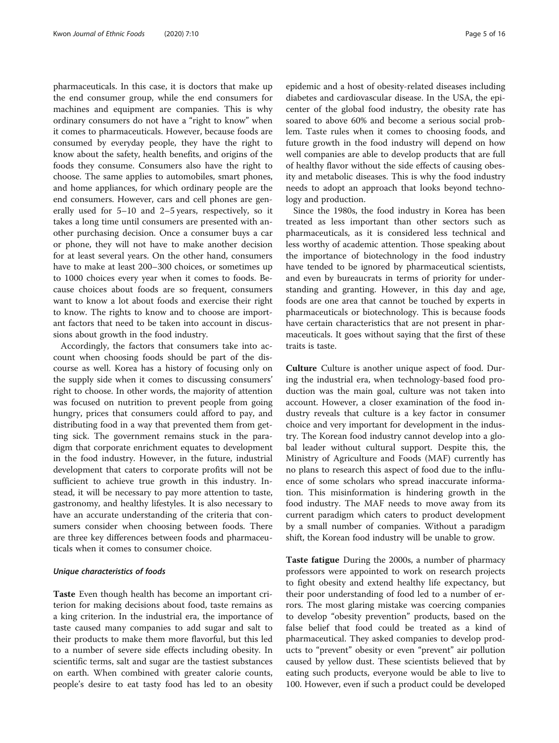pharmaceuticals. In this case, it is doctors that make up the end consumer group, while the end consumers for machines and equipment are companies. This is why ordinary consumers do not have a "right to know" when it comes to pharmaceuticals. However, because foods are consumed by everyday people, they have the right to know about the safety, health benefits, and origins of the foods they consume. Consumers also have the right to choose. The same applies to automobiles, smart phones, and home appliances, for which ordinary people are the end consumers. However, cars and cell phones are generally used for 5–10 and 2–5 years, respectively, so it takes a long time until consumers are presented with another purchasing decision. Once a consumer buys a car or phone, they will not have to make another decision for at least several years. On the other hand, consumers have to make at least 200–300 choices, or sometimes up to 1000 choices every year when it comes to foods. Because choices about foods are so frequent, consumers want to know a lot about foods and exercise their right to know. The rights to know and to choose are important factors that need to be taken into account in discussions about growth in the food industry.

Accordingly, the factors that consumers take into account when choosing foods should be part of the discourse as well. Korea has a history of focusing only on the supply side when it comes to discussing consumers' right to choose. In other words, the majority of attention was focused on nutrition to prevent people from going hungry, prices that consumers could afford to pay, and distributing food in a way that prevented them from getting sick. The government remains stuck in the paradigm that corporate enrichment equates to development in the food industry. However, in the future, industrial development that caters to corporate profits will not be sufficient to achieve true growth in this industry. Instead, it will be necessary to pay more attention to taste, gastronomy, and healthy lifestyles. It is also necessary to have an accurate understanding of the criteria that consumers consider when choosing between foods. There are three key differences between foods and pharmaceuticals when it comes to consumer choice.

#### Unique characteristics of foods

Taste Even though health has become an important criterion for making decisions about food, taste remains as a king criterion. In the industrial era, the importance of taste caused many companies to add sugar and salt to their products to make them more flavorful, but this led to a number of severe side effects including obesity. In scientific terms, salt and sugar are the tastiest substances on earth. When combined with greater calorie counts, people's desire to eat tasty food has led to an obesity epidemic and a host of obesity-related diseases including diabetes and cardiovascular disease. In the USA, the epicenter of the global food industry, the obesity rate has soared to above 60% and become a serious social problem. Taste rules when it comes to choosing foods, and future growth in the food industry will depend on how well companies are able to develop products that are full of healthy flavor without the side effects of causing obesity and metabolic diseases. This is why the food industry needs to adopt an approach that looks beyond technology and production.

Since the 1980s, the food industry in Korea has been treated as less important than other sectors such as pharmaceuticals, as it is considered less technical and less worthy of academic attention. Those speaking about the importance of biotechnology in the food industry have tended to be ignored by pharmaceutical scientists, and even by bureaucrats in terms of priority for understanding and granting. However, in this day and age, foods are one area that cannot be touched by experts in pharmaceuticals or biotechnology. This is because foods have certain characteristics that are not present in pharmaceuticals. It goes without saying that the first of these traits is taste.

Culture Culture is another unique aspect of food. During the industrial era, when technology-based food production was the main goal, culture was not taken into account. However, a closer examination of the food industry reveals that culture is a key factor in consumer choice and very important for development in the industry. The Korean food industry cannot develop into a global leader without cultural support. Despite this, the Ministry of Agriculture and Foods (MAF) currently has no plans to research this aspect of food due to the influence of some scholars who spread inaccurate information. This misinformation is hindering growth in the food industry. The MAF needs to move away from its current paradigm which caters to product development by a small number of companies. Without a paradigm shift, the Korean food industry will be unable to grow.

Taste fatigue During the 2000s, a number of pharmacy professors were appointed to work on research projects to fight obesity and extend healthy life expectancy, but their poor understanding of food led to a number of errors. The most glaring mistake was coercing companies to develop "obesity prevention" products, based on the false belief that food could be treated as a kind of pharmaceutical. They asked companies to develop products to "prevent" obesity or even "prevent" air pollution caused by yellow dust. These scientists believed that by eating such products, everyone would be able to live to 100. However, even if such a product could be developed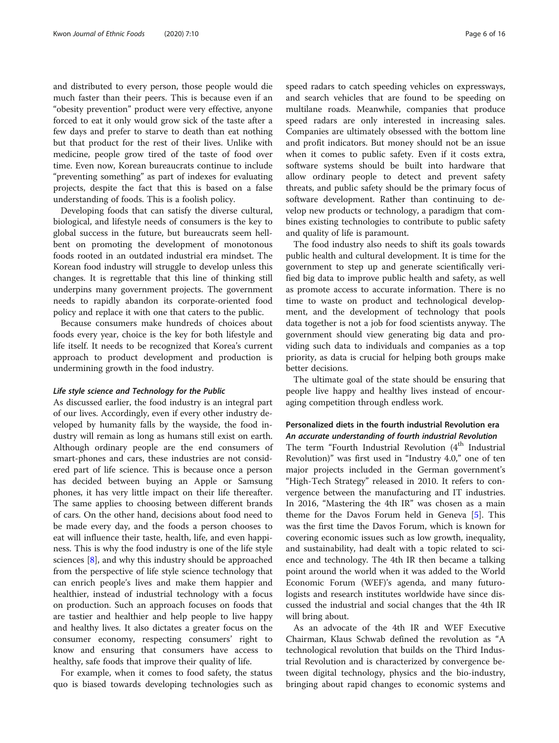and distributed to every person, those people would die much faster than their peers. This is because even if an "obesity prevention" product were very effective, anyone forced to eat it only would grow sick of the taste after a few days and prefer to starve to death than eat nothing but that product for the rest of their lives. Unlike with medicine, people grow tired of the taste of food over time. Even now, Korean bureaucrats continue to include "preventing something" as part of indexes for evaluating projects, despite the fact that this is based on a false understanding of foods. This is a foolish policy.

Developing foods that can satisfy the diverse cultural, biological, and lifestyle needs of consumers is the key to global success in the future, but bureaucrats seem hellbent on promoting the development of monotonous foods rooted in an outdated industrial era mindset. The Korean food industry will struggle to develop unless this changes. It is regrettable that this line of thinking still underpins many government projects. The government needs to rapidly abandon its corporate-oriented food policy and replace it with one that caters to the public.

Because consumers make hundreds of choices about foods every year, choice is the key for both lifestyle and life itself. It needs to be recognized that Korea's current approach to product development and production is undermining growth in the food industry.

#### Life style science and Technology for the Public

As discussed earlier, the food industry is an integral part of our lives. Accordingly, even if every other industry developed by humanity falls by the wayside, the food industry will remain as long as humans still exist on earth. Although ordinary people are the end consumers of smart-phones and cars, these industries are not considered part of life science. This is because once a person has decided between buying an Apple or Samsung phones, it has very little impact on their life thereafter. The same applies to choosing between different brands of cars. On the other hand, decisions about food need to be made every day, and the foods a person chooses to eat will influence their taste, health, life, and even happiness. This is why the food industry is one of the life style sciences [[8\]](#page-15-0), and why this industry should be approached from the perspective of life style science technology that can enrich people's lives and make them happier and healthier, instead of industrial technology with a focus on production. Such an approach focuses on foods that are tastier and healthier and help people to live happy and healthy lives. It also dictates a greater focus on the consumer economy, respecting consumers' right to know and ensuring that consumers have access to healthy, safe foods that improve their quality of life.

For example, when it comes to food safety, the status quo is biased towards developing technologies such as speed radars to catch speeding vehicles on expressways, and search vehicles that are found to be speeding on multilane roads. Meanwhile, companies that produce speed radars are only interested in increasing sales. Companies are ultimately obsessed with the bottom line and profit indicators. But money should not be an issue when it comes to public safety. Even if it costs extra, software systems should be built into hardware that allow ordinary people to detect and prevent safety threats, and public safety should be the primary focus of software development. Rather than continuing to develop new products or technology, a paradigm that combines existing technologies to contribute to public safety

The food industry also needs to shift its goals towards public health and cultural development. It is time for the government to step up and generate scientifically verified big data to improve public health and safety, as well as promote access to accurate information. There is no time to waste on product and technological development, and the development of technology that pools data together is not a job for food scientists anyway. The government should view generating big data and providing such data to individuals and companies as a top priority, as data is crucial for helping both groups make better decisions.

and quality of life is paramount.

The ultimate goal of the state should be ensuring that people live happy and healthy lives instead of encouraging competition through endless work.

# Personalized diets in the fourth industrial Revolution era An accurate understanding of fourth industrial Revolution

The term "Fourth Industrial Revolution  $(4<sup>th</sup>$  Industrial Revolution)" was first used in "Industry 4.0," one of ten major projects included in the German government's "High-Tech Strategy" released in 2010. It refers to convergence between the manufacturing and IT industries. In 2016, "Mastering the 4th IR" was chosen as a main theme for the Davos Forum held in Geneva [\[5](#page-15-0)]. This was the first time the Davos Forum, which is known for covering economic issues such as low growth, inequality, and sustainability, had dealt with a topic related to science and technology. The 4th IR then became a talking point around the world when it was added to the World Economic Forum (WEF)'s agenda, and many futurologists and research institutes worldwide have since discussed the industrial and social changes that the 4th IR will bring about.

As an advocate of the 4th IR and WEF Executive Chairman, Klaus Schwab defined the revolution as "A technological revolution that builds on the Third Industrial Revolution and is characterized by convergence between digital technology, physics and the bio-industry, bringing about rapid changes to economic systems and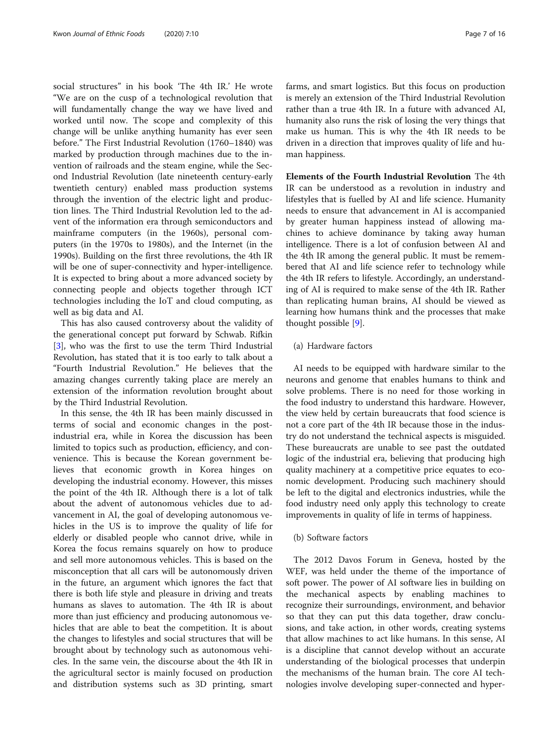social structures" in his book 'The 4th IR.' He wrote "We are on the cusp of a technological revolution that will fundamentally change the way we have lived and worked until now. The scope and complexity of this change will be unlike anything humanity has ever seen before." The First Industrial Revolution (1760–1840) was marked by production through machines due to the invention of railroads and the steam engine, while the Second Industrial Revolution (late nineteenth century-early twentieth century) enabled mass production systems through the invention of the electric light and production lines. The Third Industrial Revolution led to the advent of the information era through semiconductors and mainframe computers (in the 1960s), personal computers (in the 1970s to 1980s), and the Internet (in the 1990s). Building on the first three revolutions, the 4th IR will be one of super-connectivity and hyper-intelligence. It is expected to bring about a more advanced society by connecting people and objects together through ICT technologies including the IoT and cloud computing, as well as big data and AI.

This has also caused controversy about the validity of the generational concept put forward by Schwab. Rifkin [[3\]](#page-15-0), who was the first to use the term Third Industrial Revolution, has stated that it is too early to talk about a "Fourth Industrial Revolution." He believes that the amazing changes currently taking place are merely an extension of the information revolution brought about by the Third Industrial Revolution.

In this sense, the 4th IR has been mainly discussed in terms of social and economic changes in the postindustrial era, while in Korea the discussion has been limited to topics such as production, efficiency, and convenience. This is because the Korean government believes that economic growth in Korea hinges on developing the industrial economy. However, this misses the point of the 4th IR. Although there is a lot of talk about the advent of autonomous vehicles due to advancement in AI, the goal of developing autonomous vehicles in the US is to improve the quality of life for elderly or disabled people who cannot drive, while in Korea the focus remains squarely on how to produce and sell more autonomous vehicles. This is based on the misconception that all cars will be autonomously driven in the future, an argument which ignores the fact that there is both life style and pleasure in driving and treats humans as slaves to automation. The 4th IR is about more than just efficiency and producing autonomous vehicles that are able to beat the competition. It is about the changes to lifestyles and social structures that will be brought about by technology such as autonomous vehicles. In the same vein, the discourse about the 4th IR in the agricultural sector is mainly focused on production and distribution systems such as 3D printing, smart farms, and smart logistics. But this focus on production is merely an extension of the Third Industrial Revolution rather than a true 4th IR. In a future with advanced AI, humanity also runs the risk of losing the very things that make us human. This is why the 4th IR needs to be driven in a direction that improves quality of life and human happiness.

Elements of the Fourth Industrial Revolution The 4th IR can be understood as a revolution in industry and lifestyles that is fuelled by AI and life science. Humanity needs to ensure that advancement in AI is accompanied by greater human happiness instead of allowing machines to achieve dominance by taking away human intelligence. There is a lot of confusion between AI and the 4th IR among the general public. It must be remembered that AI and life science refer to technology while the 4th IR refers to lifestyle. Accordingly, an understanding of AI is required to make sense of the 4th IR. Rather than replicating human brains, AI should be viewed as learning how humans think and the processes that make thought possible [\[9](#page-15-0)].

(a) Hardware factors

AI needs to be equipped with hardware similar to the neurons and genome that enables humans to think and solve problems. There is no need for those working in the food industry to understand this hardware. However, the view held by certain bureaucrats that food science is not a core part of the 4th IR because those in the industry do not understand the technical aspects is misguided. These bureaucrats are unable to see past the outdated logic of the industrial era, believing that producing high quality machinery at a competitive price equates to economic development. Producing such machinery should be left to the digital and electronics industries, while the food industry need only apply this technology to create improvements in quality of life in terms of happiness.

(b) Software factors

The 2012 Davos Forum in Geneva, hosted by the WEF, was held under the theme of the importance of soft power. The power of AI software lies in building on the mechanical aspects by enabling machines to recognize their surroundings, environment, and behavior so that they can put this data together, draw conclusions, and take action, in other words, creating systems that allow machines to act like humans. In this sense, AI is a discipline that cannot develop without an accurate understanding of the biological processes that underpin the mechanisms of the human brain. The core AI technologies involve developing super-connected and hyper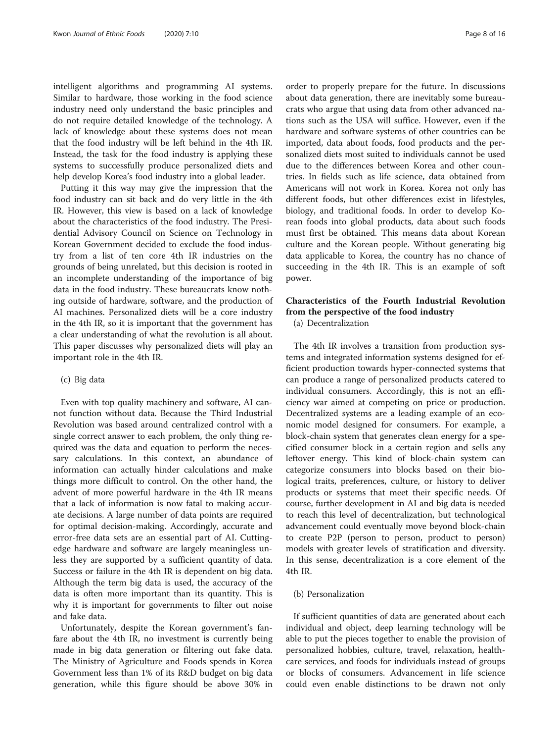intelligent algorithms and programming AI systems. Similar to hardware, those working in the food science industry need only understand the basic principles and do not require detailed knowledge of the technology. A lack of knowledge about these systems does not mean that the food industry will be left behind in the 4th IR. Instead, the task for the food industry is applying these systems to successfully produce personalized diets and help develop Korea's food industry into a global leader.

Putting it this way may give the impression that the food industry can sit back and do very little in the 4th IR. However, this view is based on a lack of knowledge about the characteristics of the food industry. The Presidential Advisory Council on Science on Technology in Korean Government decided to exclude the food industry from a list of ten core 4th IR industries on the grounds of being unrelated, but this decision is rooted in an incomplete understanding of the importance of big data in the food industry. These bureaucrats know nothing outside of hardware, software, and the production of AI machines. Personalized diets will be a core industry in the 4th IR, so it is important that the government has a clear understanding of what the revolution is all about. This paper discusses why personalized diets will play an important role in the 4th IR.

## (c) Big data

Even with top quality machinery and software, AI cannot function without data. Because the Third Industrial Revolution was based around centralized control with a single correct answer to each problem, the only thing required was the data and equation to perform the necessary calculations. In this context, an abundance of information can actually hinder calculations and make things more difficult to control. On the other hand, the advent of more powerful hardware in the 4th IR means that a lack of information is now fatal to making accurate decisions. A large number of data points are required for optimal decision-making. Accordingly, accurate and error-free data sets are an essential part of AI. Cuttingedge hardware and software are largely meaningless unless they are supported by a sufficient quantity of data. Success or failure in the 4th IR is dependent on big data. Although the term big data is used, the accuracy of the data is often more important than its quantity. This is why it is important for governments to filter out noise and fake data.

Unfortunately, despite the Korean government's fanfare about the 4th IR, no investment is currently being made in big data generation or filtering out fake data. The Ministry of Agriculture and Foods spends in Korea Government less than 1% of its R&D budget on big data generation, while this figure should be above 30% in order to properly prepare for the future. In discussions about data generation, there are inevitably some bureaucrats who argue that using data from other advanced nations such as the USA will suffice. However, even if the hardware and software systems of other countries can be imported, data about foods, food products and the personalized diets most suited to individuals cannot be used due to the differences between Korea and other countries. In fields such as life science, data obtained from Americans will not work in Korea. Korea not only has different foods, but other differences exist in lifestyles, biology, and traditional foods. In order to develop Korean foods into global products, data about such foods must first be obtained. This means data about Korean culture and the Korean people. Without generating big data applicable to Korea, the country has no chance of succeeding in the 4th IR. This is an example of soft power.

# Characteristics of the Fourth Industrial Revolution from the perspective of the food industry

(a) Decentralization

The 4th IR involves a transition from production systems and integrated information systems designed for efficient production towards hyper-connected systems that can produce a range of personalized products catered to individual consumers. Accordingly, this is not an efficiency war aimed at competing on price or production. Decentralized systems are a leading example of an economic model designed for consumers. For example, a block-chain system that generates clean energy for a specified consumer block in a certain region and sells any leftover energy. This kind of block-chain system can categorize consumers into blocks based on their biological traits, preferences, culture, or history to deliver products or systems that meet their specific needs. Of course, further development in AI and big data is needed to reach this level of decentralization, but technological advancement could eventually move beyond block-chain to create P2P (person to person, product to person) models with greater levels of stratification and diversity. In this sense, decentralization is a core element of the 4th IR.

# (b) Personalization

If sufficient quantities of data are generated about each individual and object, deep learning technology will be able to put the pieces together to enable the provision of personalized hobbies, culture, travel, relaxation, healthcare services, and foods for individuals instead of groups or blocks of consumers. Advancement in life science could even enable distinctions to be drawn not only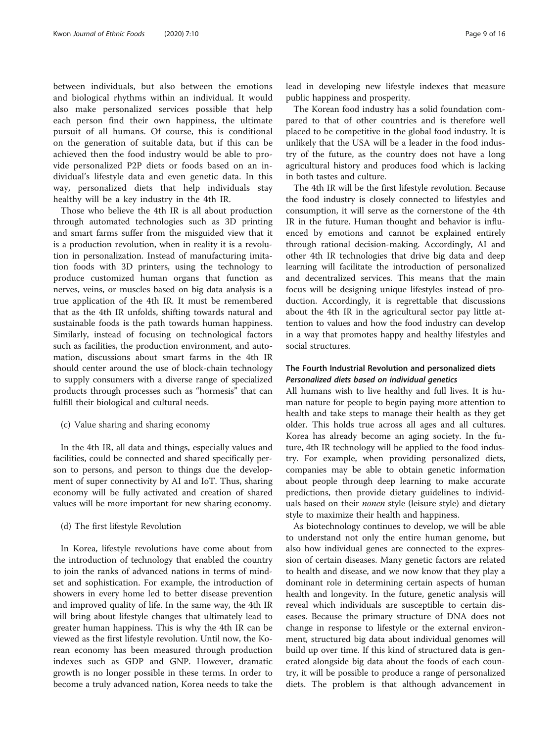between individuals, but also between the emotions and biological rhythms within an individual. It would also make personalized services possible that help each person find their own happiness, the ultimate pursuit of all humans. Of course, this is conditional on the generation of suitable data, but if this can be achieved then the food industry would be able to provide personalized P2P diets or foods based on an individual's lifestyle data and even genetic data. In this way, personalized diets that help individuals stay healthy will be a key industry in the 4th IR.

Those who believe the 4th IR is all about production through automated technologies such as 3D printing and smart farms suffer from the misguided view that it is a production revolution, when in reality it is a revolution in personalization. Instead of manufacturing imitation foods with 3D printers, using the technology to produce customized human organs that function as nerves, veins, or muscles based on big data analysis is a true application of the 4th IR. It must be remembered that as the 4th IR unfolds, shifting towards natural and sustainable foods is the path towards human happiness. Similarly, instead of focusing on technological factors such as facilities, the production environment, and automation, discussions about smart farms in the 4th IR should center around the use of block-chain technology to supply consumers with a diverse range of specialized products through processes such as "hormesis" that can fulfill their biological and cultural needs.

## (c) Value sharing and sharing economy

In the 4th IR, all data and things, especially values and facilities, could be connected and shared specifically person to persons, and person to things due the development of super connectivity by AI and IoT. Thus, sharing economy will be fully activated and creation of shared values will be more important for new sharing economy.

## (d) The first lifestyle Revolution

In Korea, lifestyle revolutions have come about from the introduction of technology that enabled the country to join the ranks of advanced nations in terms of mindset and sophistication. For example, the introduction of showers in every home led to better disease prevention and improved quality of life. In the same way, the 4th IR will bring about lifestyle changes that ultimately lead to greater human happiness. This is why the 4th IR can be viewed as the first lifestyle revolution. Until now, the Korean economy has been measured through production indexes such as GDP and GNP. However, dramatic growth is no longer possible in these terms. In order to become a truly advanced nation, Korea needs to take the lead in developing new lifestyle indexes that measure public happiness and prosperity.

The Korean food industry has a solid foundation compared to that of other countries and is therefore well placed to be competitive in the global food industry. It is unlikely that the USA will be a leader in the food industry of the future, as the country does not have a long agricultural history and produces food which is lacking in both tastes and culture.

The 4th IR will be the first lifestyle revolution. Because the food industry is closely connected to lifestyles and consumption, it will serve as the cornerstone of the 4th IR in the future. Human thought and behavior is influenced by emotions and cannot be explained entirely through rational decision-making. Accordingly, AI and other 4th IR technologies that drive big data and deep learning will facilitate the introduction of personalized and decentralized services. This means that the main focus will be designing unique lifestyles instead of production. Accordingly, it is regrettable that discussions about the 4th IR in the agricultural sector pay little attention to values and how the food industry can develop in a way that promotes happy and healthy lifestyles and social structures.

# The Fourth Industrial Revolution and personalized diets Personalized diets based on individual genetics

All humans wish to live healthy and full lives. It is human nature for people to begin paying more attention to health and take steps to manage their health as they get older. This holds true across all ages and all cultures. Korea has already become an aging society. In the future, 4th IR technology will be applied to the food industry. For example, when providing personalized diets, companies may be able to obtain genetic information about people through deep learning to make accurate predictions, then provide dietary guidelines to individuals based on their nonen style (leisure style) and dietary style to maximize their health and happiness.

As biotechnology continues to develop, we will be able to understand not only the entire human genome, but also how individual genes are connected to the expression of certain diseases. Many genetic factors are related to health and disease, and we now know that they play a dominant role in determining certain aspects of human health and longevity. In the future, genetic analysis will reveal which individuals are susceptible to certain diseases. Because the primary structure of DNA does not change in response to lifestyle or the external environment, structured big data about individual genomes will build up over time. If this kind of structured data is generated alongside big data about the foods of each country, it will be possible to produce a range of personalized diets. The problem is that although advancement in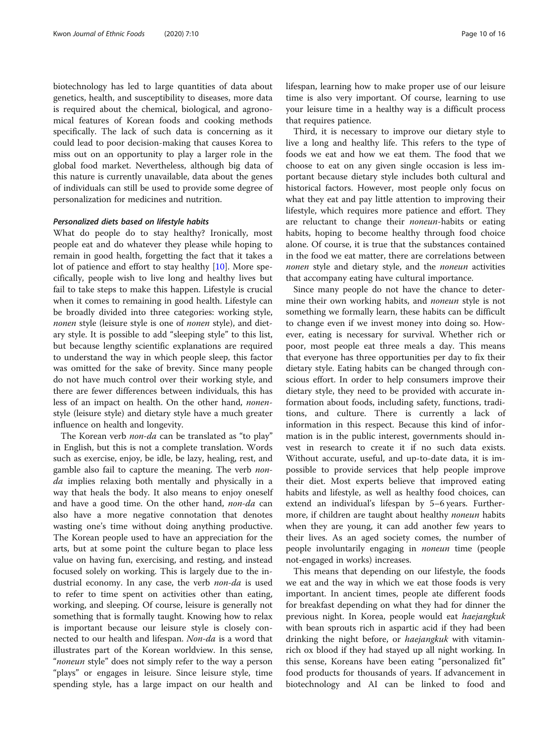biotechnology has led to large quantities of data about genetics, health, and susceptibility to diseases, more data is required about the chemical, biological, and agronomical features of Korean foods and cooking methods specifically. The lack of such data is concerning as it could lead to poor decision-making that causes Korea to miss out on an opportunity to play a larger role in the global food market. Nevertheless, although big data of this nature is currently unavailable, data about the genes of individuals can still be used to provide some degree of personalization for medicines and nutrition.

#### Personalized diets based on lifestyle habits

What do people do to stay healthy? Ironically, most people eat and do whatever they please while hoping to remain in good health, forgetting the fact that it takes a lot of patience and effort to stay healthy [[10](#page-15-0)]. More specifically, people wish to live long and healthy lives but fail to take steps to make this happen. Lifestyle is crucial when it comes to remaining in good health. Lifestyle can be broadly divided into three categories: working style, nonen style (leisure style is one of nonen style), and dietary style. It is possible to add "sleeping style" to this list, but because lengthy scientific explanations are required to understand the way in which people sleep, this factor was omitted for the sake of brevity. Since many people do not have much control over their working style, and there are fewer differences between individuals, this has less of an impact on health. On the other hand, nonenstyle (leisure style) and dietary style have a much greater influence on health and longevity.

The Korean verb *non-da* can be translated as "to play" in English, but this is not a complete translation. Words such as exercise, enjoy, be idle, be lazy, healing, rest, and gamble also fail to capture the meaning. The verb nonda implies relaxing both mentally and physically in a way that heals the body. It also means to enjoy oneself and have a good time. On the other hand, non-da can also have a more negative connotation that denotes wasting one's time without doing anything productive. The Korean people used to have an appreciation for the arts, but at some point the culture began to place less value on having fun, exercising, and resting, and instead focused solely on working. This is largely due to the industrial economy. In any case, the verb non-da is used to refer to time spent on activities other than eating, working, and sleeping. Of course, leisure is generally not something that is formally taught. Knowing how to relax is important because our leisure style is closely connected to our health and lifespan. Non-da is a word that illustrates part of the Korean worldview. In this sense, "*noneun* style" does not simply refer to the way a person "plays" or engages in leisure. Since leisure style, time spending style, has a large impact on our health and lifespan, learning how to make proper use of our leisure time is also very important. Of course, learning to use your leisure time in a healthy way is a difficult process that requires patience.

Third, it is necessary to improve our dietary style to live a long and healthy life. This refers to the type of foods we eat and how we eat them. The food that we choose to eat on any given single occasion is less important because dietary style includes both cultural and historical factors. However, most people only focus on what they eat and pay little attention to improving their lifestyle, which requires more patience and effort. They are reluctant to change their *noneun*-habits or eating habits, hoping to become healthy through food choice alone. Of course, it is true that the substances contained in the food we eat matter, there are correlations between nonen style and dietary style, and the noneun activities that accompany eating have cultural importance.

Since many people do not have the chance to determine their own working habits, and noneun style is not something we formally learn, these habits can be difficult to change even if we invest money into doing so. However, eating is necessary for survival. Whether rich or poor, most people eat three meals a day. This means that everyone has three opportunities per day to fix their dietary style. Eating habits can be changed through conscious effort. In order to help consumers improve their dietary style, they need to be provided with accurate information about foods, including safety, functions, traditions, and culture. There is currently a lack of information in this respect. Because this kind of information is in the public interest, governments should invest in research to create it if no such data exists. Without accurate, useful, and up-to-date data, it is impossible to provide services that help people improve their diet. Most experts believe that improved eating habits and lifestyle, as well as healthy food choices, can extend an individual's lifespan by 5–6 years. Furthermore, if children are taught about healthy *noneun* habits when they are young, it can add another few years to their lives. As an aged society comes, the number of people involuntarily engaging in noneun time (people not-engaged in works) increases.

This means that depending on our lifestyle, the foods we eat and the way in which we eat those foods is very important. In ancient times, people ate different foods for breakfast depending on what they had for dinner the previous night. In Korea, people would eat haejangkuk with bean sprouts rich in aspartic acid if they had been drinking the night before, or haejangkuk with vitaminrich ox blood if they had stayed up all night working. In this sense, Koreans have been eating "personalized fit" food products for thousands of years. If advancement in biotechnology and AI can be linked to food and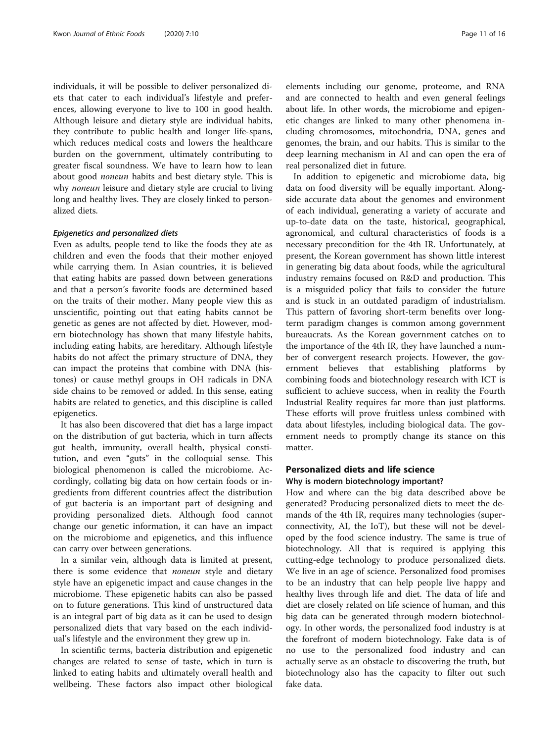individuals, it will be possible to deliver personalized diets that cater to each individual's lifestyle and preferences, allowing everyone to live to 100 in good health. Although leisure and dietary style are individual habits, they contribute to public health and longer life-spans, which reduces medical costs and lowers the healthcare burden on the government, ultimately contributing to greater fiscal soundness. We have to learn how to lean about good noneun habits and best dietary style. This is why noneun leisure and dietary style are crucial to living long and healthy lives. They are closely linked to personalized diets.

#### Epigenetics and personalized diets

Even as adults, people tend to like the foods they ate as children and even the foods that their mother enjoyed while carrying them. In Asian countries, it is believed that eating habits are passed down between generations and that a person's favorite foods are determined based on the traits of their mother. Many people view this as unscientific, pointing out that eating habits cannot be genetic as genes are not affected by diet. However, modern biotechnology has shown that many lifestyle habits, including eating habits, are hereditary. Although lifestyle habits do not affect the primary structure of DNA, they can impact the proteins that combine with DNA (histones) or cause methyl groups in OH radicals in DNA side chains to be removed or added. In this sense, eating habits are related to genetics, and this discipline is called epigenetics.

It has also been discovered that diet has a large impact on the distribution of gut bacteria, which in turn affects gut health, immunity, overall health, physical constitution, and even "guts" in the colloquial sense. This biological phenomenon is called the microbiome. Accordingly, collating big data on how certain foods or ingredients from different countries affect the distribution of gut bacteria is an important part of designing and providing personalized diets. Although food cannot change our genetic information, it can have an impact on the microbiome and epigenetics, and this influence can carry over between generations.

In a similar vein, although data is limited at present, there is some evidence that *noneun* style and dietary style have an epigenetic impact and cause changes in the microbiome. These epigenetic habits can also be passed on to future generations. This kind of unstructured data is an integral part of big data as it can be used to design personalized diets that vary based on the each individual's lifestyle and the environment they grew up in.

In scientific terms, bacteria distribution and epigenetic changes are related to sense of taste, which in turn is linked to eating habits and ultimately overall health and wellbeing. These factors also impact other biological elements including our genome, proteome, and RNA and are connected to health and even general feelings about life. In other words, the microbiome and epigenetic changes are linked to many other phenomena including chromosomes, mitochondria, DNA, genes and genomes, the brain, and our habits. This is similar to the deep learning mechanism in AI and can open the era of real personalized diet in future.

In addition to epigenetic and microbiome data, big data on food diversity will be equally important. Alongside accurate data about the genomes and environment of each individual, generating a variety of accurate and up-to-date data on the taste, historical, geographical, agronomical, and cultural characteristics of foods is a necessary precondition for the 4th IR. Unfortunately, at present, the Korean government has shown little interest in generating big data about foods, while the agricultural industry remains focused on R&D and production. This is a misguided policy that fails to consider the future and is stuck in an outdated paradigm of industrialism. This pattern of favoring short-term benefits over longterm paradigm changes is common among government bureaucrats. As the Korean government catches on to the importance of the 4th IR, they have launched a number of convergent research projects. However, the government believes that establishing platforms by combining foods and biotechnology research with ICT is sufficient to achieve success, when in reality the Fourth Industrial Reality requires far more than just platforms. These efforts will prove fruitless unless combined with data about lifestyles, including biological data. The government needs to promptly change its stance on this matter.

# Personalized diets and life science Why is modern biotechnology important?

How and where can the big data described above be generated? Producing personalized diets to meet the demands of the 4th IR, requires many technologies (superconnectivity, AI, the IoT), but these will not be developed by the food science industry. The same is true of biotechnology. All that is required is applying this cutting-edge technology to produce personalized diets. We live in an age of science. Personalized food promises to be an industry that can help people live happy and healthy lives through life and diet. The data of life and diet are closely related on life science of human, and this big data can be generated through modern biotechnology. In other words, the personalized food industry is at the forefront of modern biotechnology. Fake data is of no use to the personalized food industry and can actually serve as an obstacle to discovering the truth, but biotechnology also has the capacity to filter out such fake data.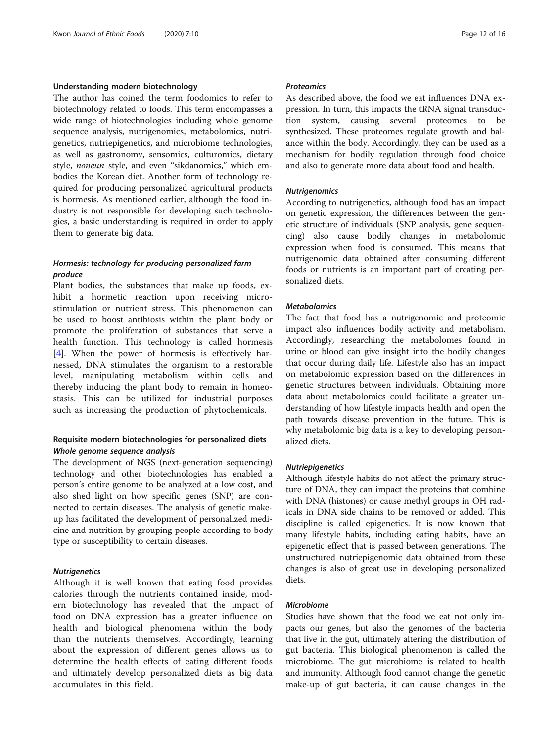# Understanding modern biotechnology

The author has coined the term foodomics to refer to biotechnology related to foods. This term encompasses a wide range of biotechnologies including whole genome sequence analysis, nutrigenomics, metabolomics, nutrigenetics, nutriepigenetics, and microbiome technologies, as well as gastronomy, sensomics, culturomics, dietary style, noneun style, and even "sikdanomics," which embodies the Korean diet. Another form of technology required for producing personalized agricultural products is hormesis. As mentioned earlier, although the food industry is not responsible for developing such technologies, a basic understanding is required in order to apply them to generate big data.

# Hormesis: technology for producing personalized farm produce

Plant bodies, the substances that make up foods, exhibit a hormetic reaction upon receiving microstimulation or nutrient stress. This phenomenon can be used to boost antibiosis within the plant body or promote the proliferation of substances that serve a health function. This technology is called hormesis [[4\]](#page-15-0). When the power of hormesis is effectively harnessed, DNA stimulates the organism to a restorable level, manipulating metabolism within cells and thereby inducing the plant body to remain in homeostasis. This can be utilized for industrial purposes such as increasing the production of phytochemicals.

# Requisite modern biotechnologies for personalized diets Whole genome sequence analysis

The development of NGS (next-generation sequencing) technology and other biotechnologies has enabled a person's entire genome to be analyzed at a low cost, and also shed light on how specific genes (SNP) are connected to certain diseases. The analysis of genetic makeup has facilitated the development of personalized medicine and nutrition by grouping people according to body type or susceptibility to certain diseases.

#### **Nutrigenetics**

Although it is well known that eating food provides calories through the nutrients contained inside, modern biotechnology has revealed that the impact of food on DNA expression has a greater influence on health and biological phenomena within the body than the nutrients themselves. Accordingly, learning about the expression of different genes allows us to determine the health effects of eating different foods and ultimately develop personalized diets as big data accumulates in this field.

# Proteomics

As described above, the food we eat influences DNA expression. In turn, this impacts the tRNA signal transduction system, causing several proteomes to be synthesized. These proteomes regulate growth and balance within the body. Accordingly, they can be used as a mechanism for bodily regulation through food choice and also to generate more data about food and health.

## **Nutrigenomics**

According to nutrigenetics, although food has an impact on genetic expression, the differences between the genetic structure of individuals (SNP analysis, gene sequencing) also cause bodily changes in metabolomic expression when food is consumed. This means that nutrigenomic data obtained after consuming different foods or nutrients is an important part of creating personalized diets.

## Metabolomics

The fact that food has a nutrigenomic and proteomic impact also influences bodily activity and metabolism. Accordingly, researching the metabolomes found in urine or blood can give insight into the bodily changes that occur during daily life. Lifestyle also has an impact on metabolomic expression based on the differences in genetic structures between individuals. Obtaining more data about metabolomics could facilitate a greater understanding of how lifestyle impacts health and open the path towards disease prevention in the future. This is why metabolomic big data is a key to developing personalized diets.

#### **Nutriepigenetics**

Although lifestyle habits do not affect the primary structure of DNA, they can impact the proteins that combine with DNA (histones) or cause methyl groups in OH radicals in DNA side chains to be removed or added. This discipline is called epigenetics. It is now known that many lifestyle habits, including eating habits, have an epigenetic effect that is passed between generations. The unstructured nutriepigenomic data obtained from these changes is also of great use in developing personalized diets.

# Microbiome

Studies have shown that the food we eat not only impacts our genes, but also the genomes of the bacteria that live in the gut, ultimately altering the distribution of gut bacteria. This biological phenomenon is called the microbiome. The gut microbiome is related to health and immunity. Although food cannot change the genetic make-up of gut bacteria, it can cause changes in the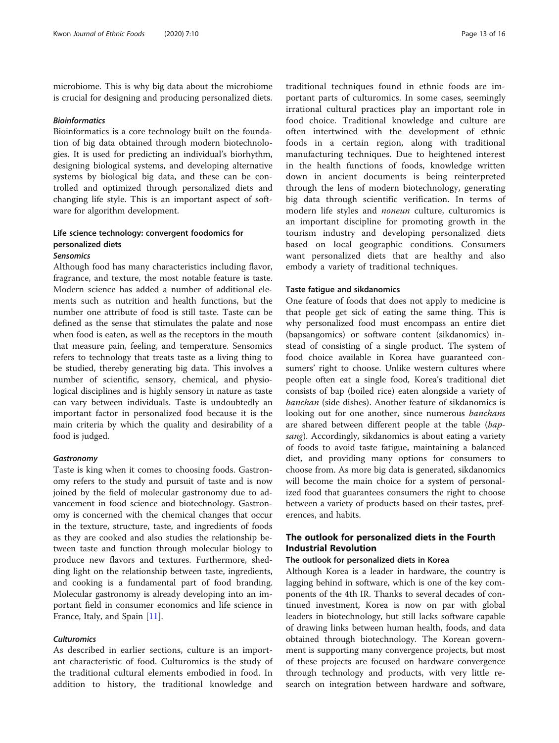microbiome. This is why big data about the microbiome is crucial for designing and producing personalized diets.

#### Bioinformatics

Bioinformatics is a core technology built on the foundation of big data obtained through modern biotechnologies. It is used for predicting an individual's biorhythm, designing biological systems, and developing alternative systems by biological big data, and these can be controlled and optimized through personalized diets and changing life style. This is an important aspect of software for algorithm development.

# Life science technology: convergent foodomics for personalized diets

# Sensomics

Although food has many characteristics including flavor, fragrance, and texture, the most notable feature is taste. Modern science has added a number of additional elements such as nutrition and health functions, but the number one attribute of food is still taste. Taste can be defined as the sense that stimulates the palate and nose when food is eaten, as well as the receptors in the mouth that measure pain, feeling, and temperature. Sensomics refers to technology that treats taste as a living thing to be studied, thereby generating big data. This involves a number of scientific, sensory, chemical, and physiological disciplines and is highly sensory in nature as taste can vary between individuals. Taste is undoubtedly an important factor in personalized food because it is the main criteria by which the quality and desirability of a food is judged.

#### **Gastronomy**

Taste is king when it comes to choosing foods. Gastronomy refers to the study and pursuit of taste and is now joined by the field of molecular gastronomy due to advancement in food science and biotechnology. Gastronomy is concerned with the chemical changes that occur in the texture, structure, taste, and ingredients of foods as they are cooked and also studies the relationship between taste and function through molecular biology to produce new flavors and textures. Furthermore, shedding light on the relationship between taste, ingredients, and cooking is a fundamental part of food branding. Molecular gastronomy is already developing into an important field in consumer economics and life science in France, Italy, and Spain [[11\]](#page-15-0).

# **Culturomics**

As described in earlier sections, culture is an important characteristic of food. Culturomics is the study of the traditional cultural elements embodied in food. In addition to history, the traditional knowledge and traditional techniques found in ethnic foods are important parts of culturomics. In some cases, seemingly irrational cultural practices play an important role in food choice. Traditional knowledge and culture are often intertwined with the development of ethnic foods in a certain region, along with traditional manufacturing techniques. Due to heightened interest in the health functions of foods, knowledge written down in ancient documents is being reinterpreted through the lens of modern biotechnology, generating big data through scientific verification. In terms of modern life styles and noneun culture, culturomics is an important discipline for promoting growth in the tourism industry and developing personalized diets based on local geographic conditions. Consumers want personalized diets that are healthy and also embody a variety of traditional techniques.

#### Taste fatigue and sikdanomics

One feature of foods that does not apply to medicine is that people get sick of eating the same thing. This is why personalized food must encompass an entire diet (bapsangomics) or software content (sikdanomics) instead of consisting of a single product. The system of food choice available in Korea have guaranteed consumers' right to choose. Unlike western cultures where people often eat a single food, Korea's traditional diet consists of bap (boiled rice) eaten alongside a variety of banchan (side dishes). Another feature of sikdanomics is looking out for one another, since numerous banchans are shared between different people at the table (bapsang). Accordingly, sikdanomics is about eating a variety of foods to avoid taste fatigue, maintaining a balanced diet, and providing many options for consumers to choose from. As more big data is generated, sikdanomics will become the main choice for a system of personalized food that guarantees consumers the right to choose between a variety of products based on their tastes, preferences, and habits.

# The outlook for personalized diets in the Fourth Industrial Revolution

## The outlook for personalized diets in Korea

Although Korea is a leader in hardware, the country is lagging behind in software, which is one of the key components of the 4th IR. Thanks to several decades of continued investment, Korea is now on par with global leaders in biotechnology, but still lacks software capable of drawing links between human health, foods, and data obtained through biotechnology. The Korean government is supporting many convergence projects, but most of these projects are focused on hardware convergence through technology and products, with very little research on integration between hardware and software,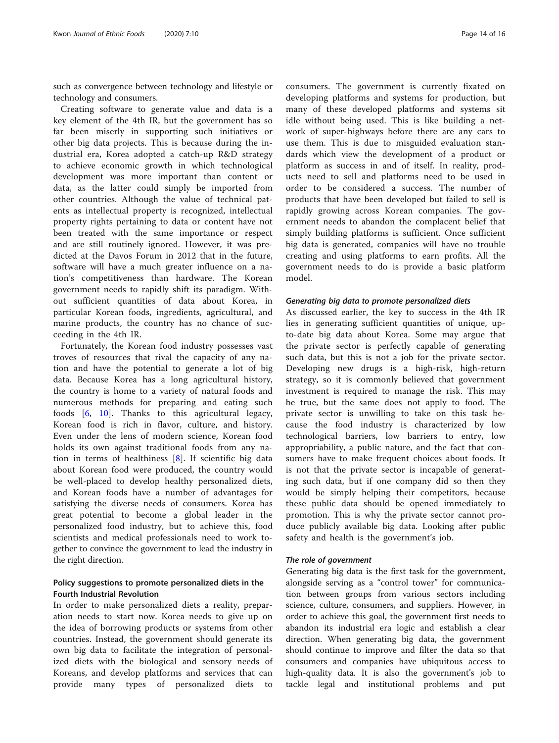such as convergence between technology and lifestyle or technology and consumers.

Creating software to generate value and data is a key element of the 4th IR, but the government has so far been miserly in supporting such initiatives or other big data projects. This is because during the industrial era, Korea adopted a catch-up R&D strategy to achieve economic growth in which technological development was more important than content or data, as the latter could simply be imported from other countries. Although the value of technical patents as intellectual property is recognized, intellectual property rights pertaining to data or content have not been treated with the same importance or respect and are still routinely ignored. However, it was predicted at the Davos Forum in 2012 that in the future, software will have a much greater influence on a nation's competitiveness than hardware. The Korean government needs to rapidly shift its paradigm. Without sufficient quantities of data about Korea, in particular Korean foods, ingredients, agricultural, and marine products, the country has no chance of succeeding in the 4th IR.

Fortunately, the Korean food industry possesses vast troves of resources that rival the capacity of any nation and have the potential to generate a lot of big data. Because Korea has a long agricultural history, the country is home to a variety of natural foods and numerous methods for preparing and eating such foods [\[6](#page-15-0), [10\]](#page-15-0). Thanks to this agricultural legacy, Korean food is rich in flavor, culture, and history. Even under the lens of modern science, Korean food holds its own against traditional foods from any nation in terms of healthiness [[8](#page-15-0)]. If scientific big data about Korean food were produced, the country would be well-placed to develop healthy personalized diets, and Korean foods have a number of advantages for satisfying the diverse needs of consumers. Korea has great potential to become a global leader in the personalized food industry, but to achieve this, food scientists and medical professionals need to work together to convince the government to lead the industry in the right direction.

# Policy suggestions to promote personalized diets in the Fourth Industrial Revolution

In order to make personalized diets a reality, preparation needs to start now. Korea needs to give up on the idea of borrowing products or systems from other countries. Instead, the government should generate its own big data to facilitate the integration of personalized diets with the biological and sensory needs of Koreans, and develop platforms and services that can provide many types of personalized diets to

consumers. The government is currently fixated on developing platforms and systems for production, but many of these developed platforms and systems sit idle without being used. This is like building a network of super-highways before there are any cars to use them. This is due to misguided evaluation standards which view the development of a product or platform as success in and of itself. In reality, products need to sell and platforms need to be used in order to be considered a success. The number of products that have been developed but failed to sell is rapidly growing across Korean companies. The government needs to abandon the complacent belief that simply building platforms is sufficient. Once sufficient big data is generated, companies will have no trouble creating and using platforms to earn profits. All the government needs to do is provide a basic platform model.

#### Generating big data to promote personalized diets

As discussed earlier, the key to success in the 4th IR lies in generating sufficient quantities of unique, upto-date big data about Korea. Some may argue that the private sector is perfectly capable of generating such data, but this is not a job for the private sector. Developing new drugs is a high-risk, high-return strategy, so it is commonly believed that government investment is required to manage the risk. This may be true, but the same does not apply to food. The private sector is unwilling to take on this task because the food industry is characterized by low technological barriers, low barriers to entry, low appropriability, a public nature, and the fact that consumers have to make frequent choices about foods. It is not that the private sector is incapable of generating such data, but if one company did so then they would be simply helping their competitors, because these public data should be opened immediately to promotion. This is why the private sector cannot produce publicly available big data. Looking after public safety and health is the government's job.

## The role of government

Generating big data is the first task for the government, alongside serving as a "control tower" for communication between groups from various sectors including science, culture, consumers, and suppliers. However, in order to achieve this goal, the government first needs to abandon its industrial era logic and establish a clear direction. When generating big data, the government should continue to improve and filter the data so that consumers and companies have ubiquitous access to high-quality data. It is also the government's job to tackle legal and institutional problems and put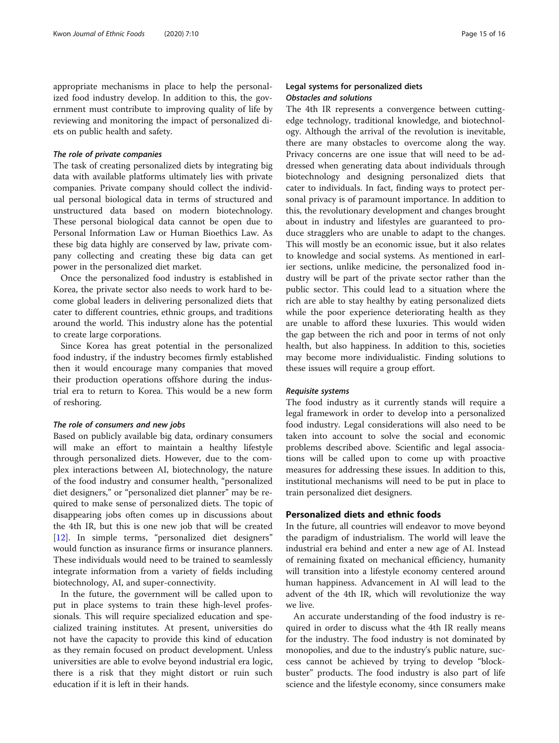appropriate mechanisms in place to help the personalized food industry develop. In addition to this, the government must contribute to improving quality of life by reviewing and monitoring the impact of personalized diets on public health and safety.

## The role of private companies

The task of creating personalized diets by integrating big data with available platforms ultimately lies with private companies. Private company should collect the individual personal biological data in terms of structured and unstructured data based on modern biotechnology. These personal biological data cannot be open due to Personal Information Law or Human Bioethics Law. As these big data highly are conserved by law, private company collecting and creating these big data can get power in the personalized diet market.

Once the personalized food industry is established in Korea, the private sector also needs to work hard to become global leaders in delivering personalized diets that cater to different countries, ethnic groups, and traditions around the world. This industry alone has the potential to create large corporations.

Since Korea has great potential in the personalized food industry, if the industry becomes firmly established then it would encourage many companies that moved their production operations offshore during the industrial era to return to Korea. This would be a new form of reshoring.

#### The role of consumers and new jobs

Based on publicly available big data, ordinary consumers will make an effort to maintain a healthy lifestyle through personalized diets. However, due to the complex interactions between AI, biotechnology, the nature of the food industry and consumer health, "personalized diet designers," or "personalized diet planner" may be required to make sense of personalized diets. The topic of disappearing jobs often comes up in discussions about the 4th IR, but this is one new job that will be created [[12\]](#page-15-0). In simple terms, "personalized diet designers" would function as insurance firms or insurance planners. These individuals would need to be trained to seamlessly integrate information from a variety of fields including biotechnology, AI, and super-connectivity.

In the future, the government will be called upon to put in place systems to train these high-level professionals. This will require specialized education and specialized training institutes. At present, universities do not have the capacity to provide this kind of education as they remain focused on product development. Unless universities are able to evolve beyond industrial era logic, there is a risk that they might distort or ruin such education if it is left in their hands.

# Legal systems for personalized diets Obstacles and solutions

The 4th IR represents a convergence between cuttingedge technology, traditional knowledge, and biotechnology. Although the arrival of the revolution is inevitable, there are many obstacles to overcome along the way. Privacy concerns are one issue that will need to be addressed when generating data about individuals through biotechnology and designing personalized diets that cater to individuals. In fact, finding ways to protect personal privacy is of paramount importance. In addition to this, the revolutionary development and changes brought about in industry and lifestyles are guaranteed to produce stragglers who are unable to adapt to the changes. This will mostly be an economic issue, but it also relates to knowledge and social systems. As mentioned in earlier sections, unlike medicine, the personalized food industry will be part of the private sector rather than the public sector. This could lead to a situation where the rich are able to stay healthy by eating personalized diets while the poor experience deteriorating health as they are unable to afford these luxuries. This would widen the gap between the rich and poor in terms of not only health, but also happiness. In addition to this, societies may become more individualistic. Finding solutions to these issues will require a group effort.

#### Requisite systems

The food industry as it currently stands will require a legal framework in order to develop into a personalized food industry. Legal considerations will also need to be taken into account to solve the social and economic problems described above. Scientific and legal associations will be called upon to come up with proactive measures for addressing these issues. In addition to this, institutional mechanisms will need to be put in place to train personalized diet designers.

# Personalized diets and ethnic foods

In the future, all countries will endeavor to move beyond the paradigm of industrialism. The world will leave the industrial era behind and enter a new age of AI. Instead of remaining fixated on mechanical efficiency, humanity will transition into a lifestyle economy centered around human happiness. Advancement in AI will lead to the advent of the 4th IR, which will revolutionize the way we live.

An accurate understanding of the food industry is required in order to discuss what the 4th IR really means for the industry. The food industry is not dominated by monopolies, and due to the industry's public nature, success cannot be achieved by trying to develop "blockbuster" products. The food industry is also part of life science and the lifestyle economy, since consumers make